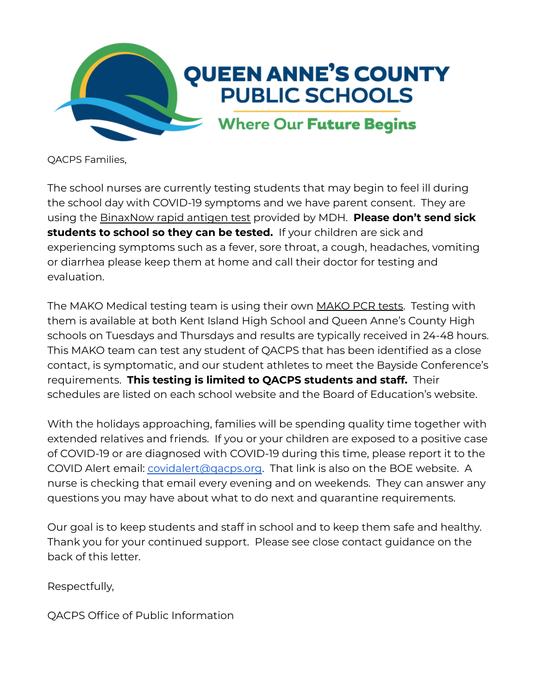

QACPS Families,

The school nurses are currently testing students that may begin to feel ill during the school day with COVID-19 symptoms and we have parent consent. They are using the BinaxNow rapid antigen test provided by MDH. **Please don't send sick students to school so they can be tested.** If your children are sick and experiencing symptoms such as a fever, sore throat, a cough, headaches, vomiting or diarrhea please keep them at home and call their doctor for testing and evaluation.

The MAKO Medical testing team is using their own MAKO PCR tests. Testing with them is available at both Kent Island High School and Queen Anne's County High schools on Tuesdays and Thursdays and results are typically received in 24-48 hours. This MAKO team can test any student of QACPS that has been identified as a close contact, is symptomatic, and our student athletes to meet the Bayside Conference's requirements. **This testing is limited to QACPS students and staff.** Their schedules are listed on each school website and the Board of Education's website.

With the holidays approaching, families will be spending quality time together with extended relatives and friends. If you or your children are exposed to a positive case of COVID-19 or are diagnosed with COVID-19 during this time, please report it to the COVID Alert email: [covidalert@qacps.org.](mailto:covidalert@qacps.org) That link is also on the BOE website. A nurse is checking that email every evening and on weekends. They can answer any questions you may have about what to do next and quarantine requirements.

Our goal is to keep students and staff in school and to keep them safe and healthy. Thank you for your continued support. Please see close contact guidance on the back of this letter.

Respectfully,

QACPS Office of Public Information